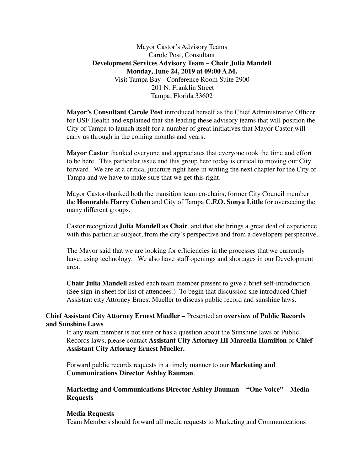Mayor Castor's Advisory Teams Carole Post, Consultant **Development Services Advisory Team – Chair Julia Mandell Monday, June 24, 2019 at 09:00 A.M.** Visit Tampa Bay - Conference Room Suite 2900 201 N. Franklin Street Tampa, Florida 33602

**Mayor's Consultant Carole Post** introduced herself as the Chief Administrative Officer for USF Health and explained that she leading these advisory teams that will position the City of Tampa to launch itself for a number of great initiatives that Mayor Castor will carry us through in the coming months and years.

**Mayor Castor** thanked everyone and appreciates that everyone took the time and effort to be here. This particular issue and this group here today is critical to moving our City forward. We are at a critical juncture right here in writing the next chapter for the City of Tampa and we have to make sure that we get this right.

Mayor Castor thanked both the transition team co-chairs, former City Council member the **Honorable Harry Cohen** and City of Tampa **C.F.O. Sonya Little** for overseeing the many different groups.

Castor recognized **Julia Mandell as Chair**, and that she brings a great deal of experience with this particular subject, from the city's perspective and from a developers perspective.

The Mayor said that we are looking for efficiencies in the processes that we currently have, using technology. We also have staff openings and shortages in our Development area.

**Chair Julia Mandell** asked each team member present to give a brief self-introduction. (See sign-in sheet for list of attendees.) To begin that discussion she introduced Chief Assistant city Attorney Ernest Mueller to discuss public record and sunshine laws.

# **and Sunshine Laws Chief Assistant City Attorney Ernest Mueller –** Presented an **overview of Public Records**

If any team member is not sure or has a question about the Sunshine laws or Public Records laws, please contact **Assistant City Attorney III Marcella Hamilton** or **Chief Assistant City Attorney Ernest Mueller.** 

Forward public records requests in a timely manner to our **Marketing and Communications Director Ashley Bauman**.

**Marketing and Communications Director Ashley Bauman – "One Voice" – Media Requests** 

#### **Media Requests**

Team Members should forward all media requests to Marketing and Communications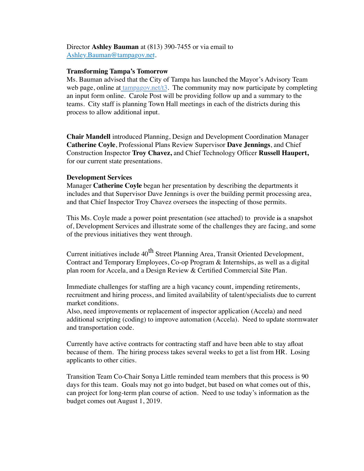Director **Ashley Bauman** at (813) 390-7455 or via email to Ashley.Bauman@tampagov.net.

### **Transforming Tampa's Tomorrow**

Ms. Bauman advised that the City of Tampa has launched the Mayor's Advisory Team web page, online at tampagov.net/t3. The community may now participate by completing an input form online. Carole Post will be providing follow up and a summary to the teams. City staff is planning Town Hall meetings in each of the districts during this process to allow additional input.

**Chair Mandell** introduced Planning, Design and Development Coordination Manager **Catherine Coyle**, Professional Plans Review Supervisor **Dave Jennings**, and Chief Construction Inspector **Troy Chavez,** and Chief Technology Officer **Russell Haupert,**  for our current state presentations.

#### **Development Services**

Manager **Catherine Coyle** began her presentation by describing the departments it includes and that Supervisor Dave Jennings is over the building permit processing area, and that Chief Inspector Troy Chavez oversees the inspecting of those permits.

This Ms. Coyle made a power point presentation (see attached) to provide is a snapshot of, Development Services and illustrate some of the challenges they are facing, and some of the previous initiatives they went through.

Current initiatives include 40<sup>th</sup> Street Planning Area, Transit Oriented Development, Contract and Temporary Employees, Co-op Program & Internships, as well as a digital plan room for Accela, and a Design Review & Certified Commercial Site Plan.

Immediate challenges for staffing are a high vacancy count, impending retirements, recruitment and hiring process, and limited availability of talent/specialists due to current market conditions.

Also, need improvements or replacement of inspector application (Accela) and need additional scripting (coding) to improve automation (Accela). Need to update stormwater and transportation code.

Currently have active contracts for contracting staff and have been able to stay afloat because of them. The hiring process takes several weeks to get a list from HR. Losing applicants to other cities.

Transition Team Co-Chair Sonya Little reminded team members that this process is 90 days for this team. Goals may not go into budget, but based on what comes out of this, can project for long-term plan course of action. Need to use today's information as the budget comes out August 1, 2019.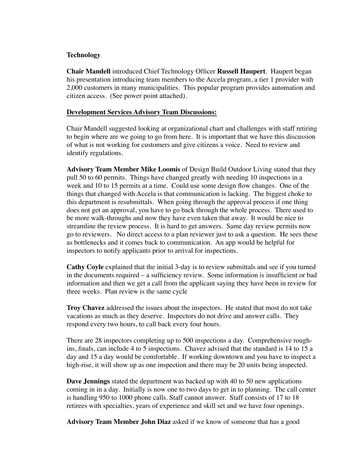# **Technology**

**Chair Mandell** introduced Chief Technology Officer **Russell Haupert**. Haupert began his presentation introducing team members to the Accela program, a tier 1 provider with 2,000 customers in many municipalities. This popular program provides automation and citizen access. (See power point attached).

## **Development Services Advisory Team Discussions:**

Chair Mandell suggested looking at organizational chart and challenges with staff retiring to begin where are we going to go from here. It is important that we have this discussion of what is not working for customers and give citizens a voice. Need to review and identify regulations.

**Advisory Team Member Mike Loomis** of Design Build Outdoor Living stated that they pull 50 to 60 permits. Things have changed greatly with needing 10 inspections in a week and 10 to 15 permits at a time. Could use some design flow changes. One of the things that changed with Accela is that communication is lacking. The biggest choke to this department is resubmittals. When going through the approval process if one thing does not get an approval, you have to go back through the whole process. There used to be more walk-throughs and now they have even taken that away. It would be nice to streamline the review process. It is hard to get answers. Same day review permits now go to reviewers. No direct access to a plan reviewer just to ask a question. He sees these as bottlenecks and it comes back to communication. An app would be helpful for inspectors to notify applicants prior to arrival for inspections.

**Cathy Coyle** explained that the initial 3-day is to review submittals and see if you turned in the documents required – a sufficiency review. Some information is insufficient or bad information and then we get a call from the applicant saying they have been in review for three weeks. Plan review is the same cycle

**Troy Chavez** addressed the issues about the inspectors. He stated that most do not take vacations as much as they deserve. Inspectors do not drive and answer calls. They respond every two hours, to call back every four hours.

There are 28 inspectors completing up to 500 inspections a day. Comprehensive roughins, finals, can include 4 to 5 inspections. Chavez advised that the standard is 14 to 15 a day and 15 a day would be comfortable. If working downtown and you have to inspect a high-rise, it will show up as one inspection and there may be 20 units being inspected.

**Dave Jennings** stated the department was backed up with 40 to 50 new applications coming in in a day. Initially is now one to two days to get in to planning. The call center is handling 950 to 1000 phone calls. Staff cannot answer. Staff consists of 17 to 18 retirees with specialties, years of experience and skill set and we have four openings.

**Advisory Team Member John Diaz** asked if we know of someone that has a good